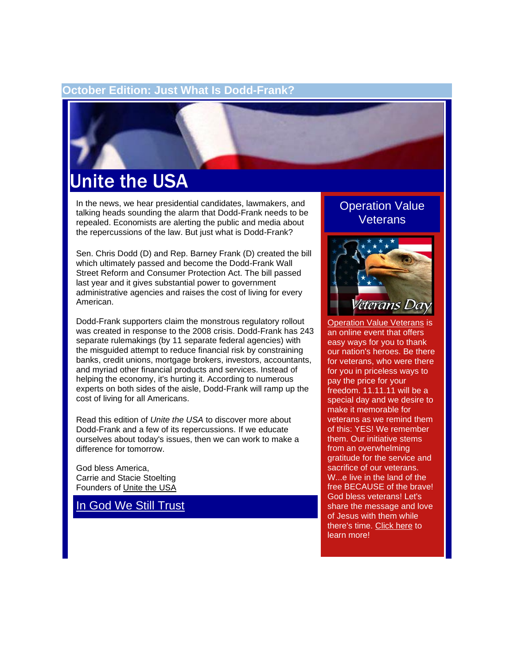#### **October Edition: Just What Is Dodd-Frank?**



# Unite the USA

In the news, we hear presidential candidates, lawmakers, and talking heads sounding the alarm that Dodd-Frank needs to be repealed. Economists are alerting the public and media about the repercussions of the law. But just what is Dodd-Frank?

Sen. Chris Dodd (D) and Rep. Barney Frank (D) created the bill which ultimately passed and become the Dodd-Frank Wall Street Reform and Consumer Protection Act. The bill passed last year and it gives substantial power to government administrative agencies and raises the cost of living for every American.

Dodd-Frank supporters claim the monstrous regulatory rollout was created in response to the 2008 crisis. Dodd-Frank has 243 separate rulemakings (by 11 separate federal agencies) with the misguided attempt to reduce financial risk by constraining banks, credit unions, mortgage brokers, investors, accountants, and myriad other financial products and services. Instead of helping the economy, it's hurting it. According to numerous experts on both sides of the aisle, Dodd-Frank will ramp up the cost of living for all Americans.

Read this edition of *Unite the USA* to discover more about Dodd-Frank and a few of its repercussions. If we educate ourselves about today's issues, then we can work to make a difference for tomorrow.

God bless America, Carrie and Stacie Stoelting Founders of [Unite the USA](http://unitetheusa.org/index.html)

[In God We Still Trust](http://unitetheusa.org/id56.html)

#### Operation Value **Veterans**



**[Operation Value Veterans](http://unitetheusa.org/id59.html) is** an online event that offers easy ways for you to thank our nation's heroes. Be there for veterans, who were there for you in priceless ways to pay the price for your freedom. 11.11.11 will be a special day and we desire to make it memorable for veterans as we remind them of this: YES! We remember them. Our initiative stems from an overwhelming gratitude for the service and sacrifice of our veterans. W...e live in the land of the free BECAUSE of the brave! God bless veterans! Let's share the message and love of Jesus with them while there's time. [Click here](http://unitetheusa.org/id59.html) to learn more!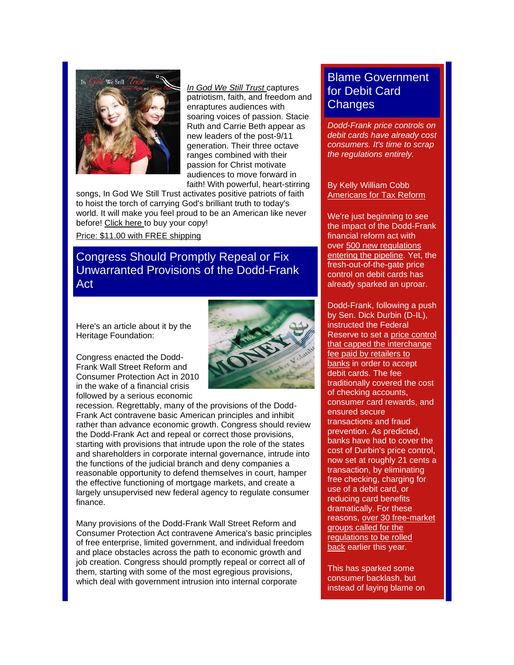

*[In God We Still Trust](http://unitetheusa.org/id61.html)* captures patriotism, faith, and freedom and enraptures audiences with soaring voices of passion. Stacie Ruth and Carrie Beth appear as new leaders of the post-9/11 generation. Their three octave ranges combined with their passion for Christ motivate audiences to move forward in faith! With powerful, heart-stirring

songs, In God We Still Trust activates positive patriots of faith to hoist the torch of carrying God's brilliant truth to today's world. It will make you feel proud to be an American like never before! [Click here](http://unitetheusa.org/id56.html) to buy your copy!

[Price: \\$11.00 with FREE shipping](http://unitetheusa.org/id56.html)

### Congress Should Promptly Repeal or Fix Unwarranted Provisions of the Dodd-Frank Act

Here's an article about it by the Heritage Foundation:

Congress enacted the Dodd-Frank Wall Street Reform and Consumer Protection Act in 2010 in the wake of a financial crisis followed by a serious economic



recession. Regrettably, many of the provisions of the Dodd-Frank Act contravene basic American principles and inhibit rather than advance economic growth. Congress should review the Dodd-Frank Act and repeal or correct those provisions, starting with provisions that intrude upon the role of the states and shareholders in corporate internal governance, intrude into the functions of the judicial branch and deny companies a reasonable opportunity to defend themselves in court, hamper the effective functioning of mortgage markets, and create a largely unsupervised new federal agency to regulate consumer finance.

Many provisions of the Dodd-Frank Wall Street Reform and Consumer Protection Act contravene America's basic principles of free enterprise, limited government, and individual freedom and place obstacles across the path to economic growth and job creation. Congress should promptly repeal or correct all of them, starting with some of the most egregious provisions, which deal with government intrusion into internal corporate

## Blame Government for Debit Card **Changes**

*Dodd-Frank price controls on debit cards have already cost consumers. It's time to scrap the regulations entirely.*

#### By Kelly William Cobb [Americans for Tax Reform](http://www.atr.org/)

We're just beginning to see the impact of the Dodd-Frank financial reform act with over [500 new regulations](http://unitetheusa.org/id61.html)  [entering the pipeline.](http://unitetheusa.org/id61.html) Yet, the fresh-out-of-the-gate price control on debit cards has already sparked an uproar.

Dodd-Frank, following a push by Sen. Dick Durbin (D-IL), instructed the Federal Reserve to set a [price control](http://unitetheusa.org/id61.html)  [that capped the interchange](http://unitetheusa.org/id61.html)  [fee paid by retailers to](http://unitetheusa.org/id61.html)  [banks](http://unitetheusa.org/id61.html) in order to accept debit cards. The fee traditionally covered the cost of checking accounts, consumer card rewards, and ensured secure transactions and fraud prevention. As predicted, banks have had to cover the cost of Durbin's price control, now set at roughly 21 cents a transaction, by eliminating free checking, charging for use of a debit card, or reducing card benefits dramatically. For these reasons, [over 30 free-market](http://unitetheusa.org/id61.html)  [groups called for the](http://unitetheusa.org/id61.html)  [regulations to be rolled](http://unitetheusa.org/id61.html)  [back](http://unitetheusa.org/id61.html) earlier this year.

This has sparked some consumer backlash, but instead of laying blame on